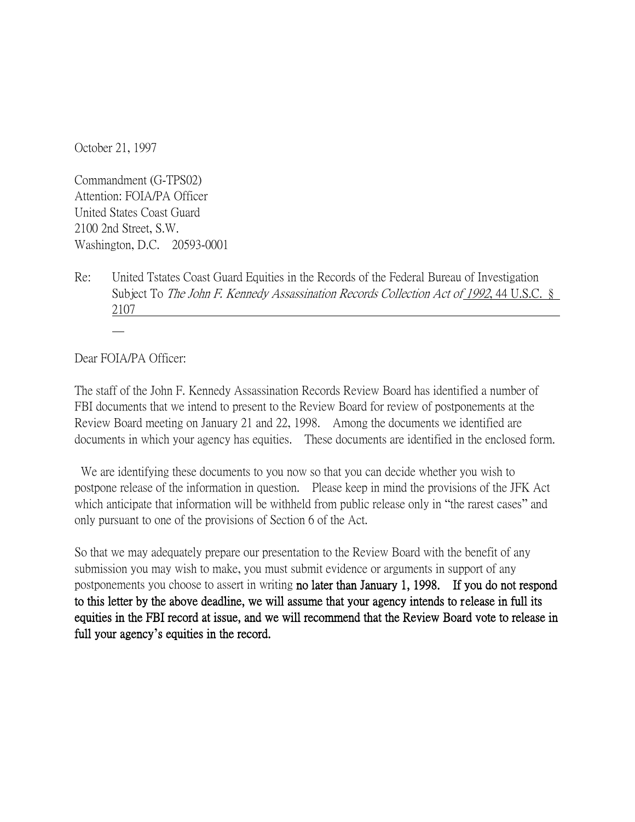October 21, 1997

Commandment (G-TPS02) Attention: FOIA/PA Officer United States Coast Guard 2100 2nd Street, S.W. Washington, D.C. 20593-0001

Re: United Tstates Coast Guard Equities in the Records of the Federal Bureau of Investigation Subject To *The John F. Kennedy Assassination Records Collection Act of 1992*, 44 U.S.C. § 2107

Dear FOIA/PA Officer:

The staff of the John F. Kennedy Assassination Records Review Board has identified a number of FBI documents that we intend to present to the Review Board for review of postponements at the Review Board meeting on January 21 and 22, 1998. Among the documents we identified are documents in which your agency has equities. These documents are identified in the enclosed form.

We are identifying these documents to you now so that you can decide whether you wish to postpone release of the information in question. Please keep in mind the provisions of the JFK Act which anticipate that information will be withheld from public release only in "the rarest cases" and only pursuant to one of the provisions of Section 6 of the Act.

So that we may adequately prepare our presentation to the Review Board with the benefit of any submission you may wish to make, you must submit evidence or arguments in support of any postponements you choose to assert in writing no later than January 1, 1998. If you do not respond to this letter by the above deadline, we will assume that your agency intends to release in full its equities in the FBI record at issue, and we will recommend that the Review Board vote to release in full your agency**'**s equities in the record.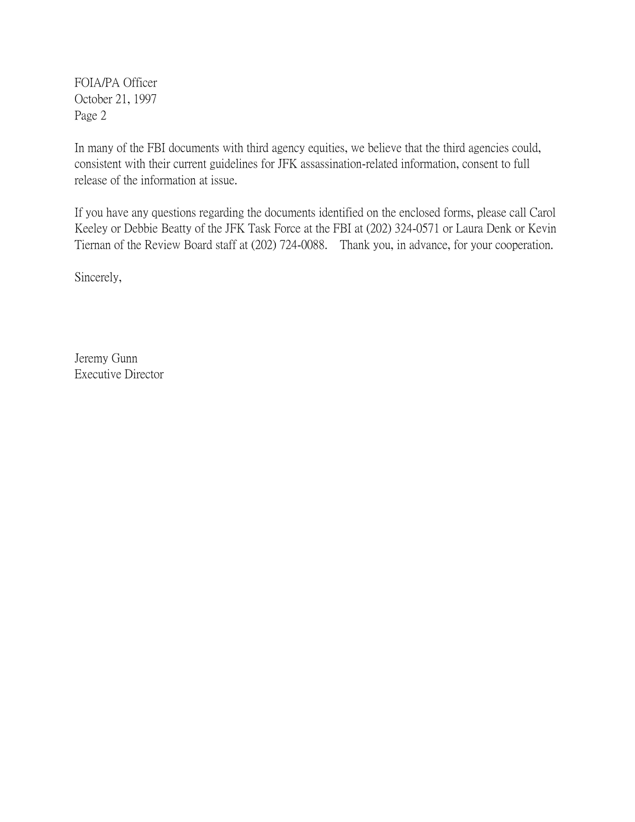FOIA/PA Officer October 21, 1997 Page 2

In many of the FBI documents with third agency equities, we believe that the third agencies could, consistent with their current guidelines for JFK assassination-related information, consent to full release of the information at issue.

If you have any questions regarding the documents identified on the enclosed forms, please call Carol Keeley or Debbie Beatty of the JFK Task Force at the FBI at (202) 324-0571 or Laura Denk or Kevin Tiernan of the Review Board staff at (202) 724-0088. Thank you, in advance, for your cooperation.

Sincerely,

Jeremy Gunn Executive Director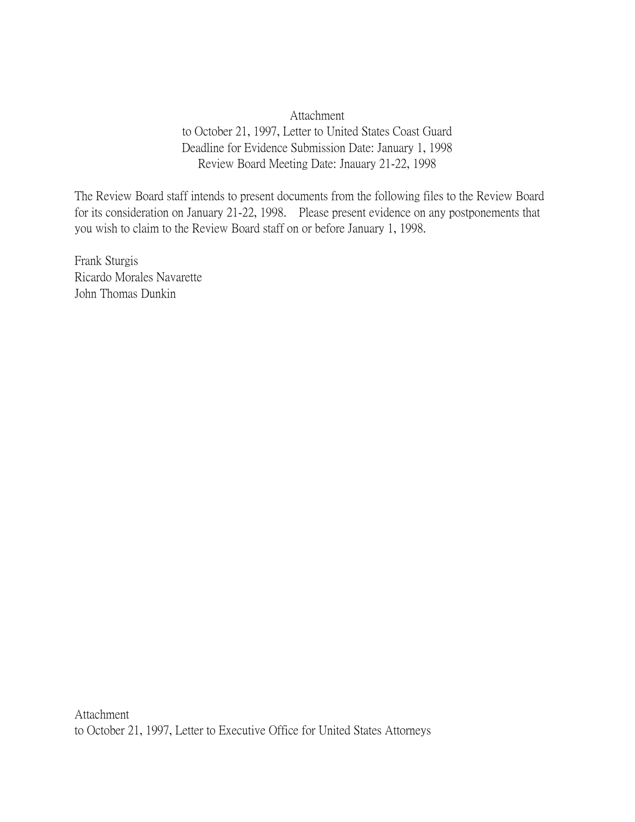## Attachment to October 21, 1997, Letter to United States Coast Guard Deadline for Evidence Submission Date: January 1, 1998 Review Board Meeting Date: Jnauary 21-22, 1998

The Review Board staff intends to present documents from the following files to the Review Board for its consideration on January 21-22, 1998. Please present evidence on any postponements that you wish to claim to the Review Board staff on or before January 1, 1998.

Frank Sturgis Ricardo Morales Navarette John Thomas Dunkin